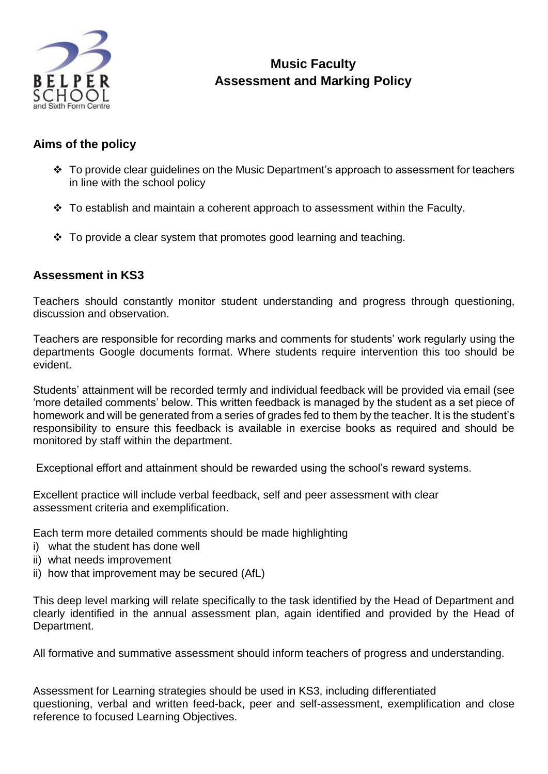

# **Music Faculty Assessment and Marking Policy**

### **Aims of the policy**

- \* To provide clear guidelines on the Music Department's approach to assessment for teachers in line with the school policy
- $\cdot$  To establish and maintain a coherent approach to assessment within the Faculty.
- $\div$  To provide a clear system that promotes good learning and teaching.

#### **Assessment in KS3**

Teachers should constantly monitor student understanding and progress through questioning, discussion and observation.

Teachers are responsible for recording marks and comments for students' work regularly using the departments Google documents format. Where students require intervention this too should be evident.

Students' attainment will be recorded termly and individual feedback will be provided via email (see 'more detailed comments' below. This written feedback is managed by the student as a set piece of homework and will be generated from a series of grades fed to them by the teacher. It is the student's responsibility to ensure this feedback is available in exercise books as required and should be monitored by staff within the department.

Exceptional effort and attainment should be rewarded using the school's reward systems.

Excellent practice will include verbal feedback, self and peer assessment with clear assessment criteria and exemplification.

Each term more detailed comments should be made highlighting

- i) what the student has done well
- ii) what needs improvement
- ii) how that improvement may be secured (AfL)

This deep level marking will relate specifically to the task identified by the Head of Department and clearly identified in the annual assessment plan, again identified and provided by the Head of Department.

All formative and summative assessment should inform teachers of progress and understanding.

Assessment for Learning strategies should be used in KS3, including differentiated questioning, verbal and written feed-back, peer and self-assessment, exemplification and close reference to focused Learning Objectives.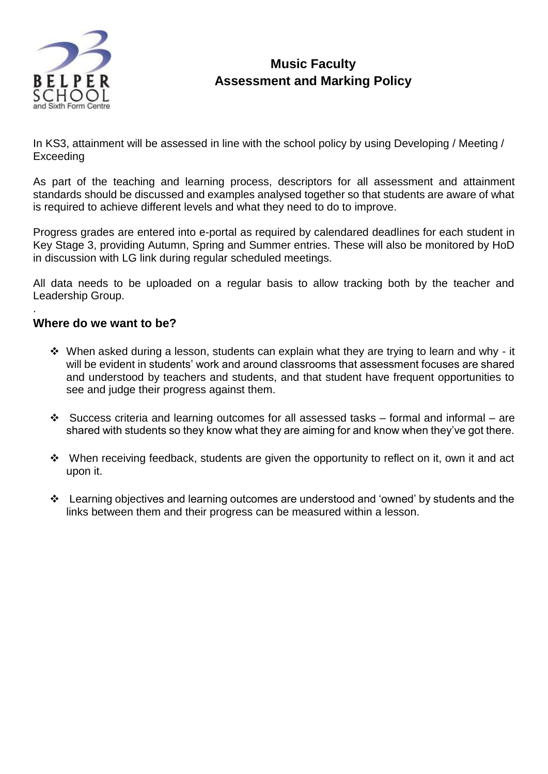

## **Music Faculty Assessment and Marking Policy**

In KS3, attainment will be assessed in line with the school policy by using Developing / Meeting / Exceeding

As part of the teaching and learning process, descriptors for all assessment and attainment standards should be discussed and examples analysed together so that students are aware of what is required to achieve different levels and what they need to do to improve.

Progress grades are entered into e-portal as required by calendared deadlines for each student in Key Stage 3, providing Autumn, Spring and Summer entries. These will also be monitored by HoD in discussion with LG link during regular scheduled meetings.

All data needs to be uploaded on a regular basis to allow tracking both by the teacher and Leadership Group.

#### **Where do we want to be?**

.

- \* When asked during a lesson, students can explain what they are trying to learn and why it will be evident in students' work and around classrooms that assessment focuses are shared and understood by teachers and students, and that student have frequent opportunities to see and judge their progress against them.
- $\div$  Success criteria and learning outcomes for all assessed tasks formal and informal are shared with students so they know what they are aiming for and know when they've got there.
- $\div$  When receiving feedback, students are given the opportunity to reflect on it, own it and act upon it.
- Learning objectives and learning outcomes are understood and 'owned' by students and the links between them and their progress can be measured within a lesson.